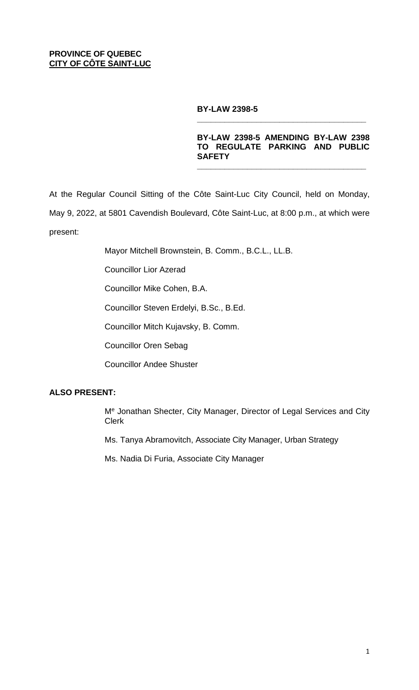### **PROVINCE OF QUEBEC CITY OF CÔTE SAINT-LUC**

#### **BY-LAW 2398-5**

#### **BY-LAW 2398-5 AMENDING BY-LAW 2398 TO REGULATE PARKING AND PUBLIC SAFETY**

**\_\_\_\_\_\_\_\_\_\_\_\_\_\_\_\_\_\_\_\_\_\_\_\_\_\_\_\_\_\_\_\_\_\_\_\_\_**

**\_\_\_\_\_\_\_\_\_\_\_\_\_\_\_\_\_\_\_\_\_\_\_\_\_\_\_\_\_\_\_\_\_\_\_\_\_**

At the Regular Council Sitting of the Côte Saint-Luc City Council, held on Monday, May 9, 2022, at 5801 Cavendish Boulevard, Côte Saint-Luc, at 8:00 p.m., at which were present:

Mayor Mitchell Brownstein, B. Comm., B.C.L., LL.B.

Councillor Lior Azerad

Councillor Mike Cohen, B.A.

Councillor Steven Erdelyi, B.Sc., B.Ed.

Councillor Mitch Kujavsky, B. Comm.

Councillor Oren Sebag

Councillor Andee Shuster

#### **ALSO PRESENT:**

Me Jonathan Shecter, City Manager, Director of Legal Services and City Clerk

Ms. Tanya Abramovitch, Associate City Manager, Urban Strategy

Ms. Nadia Di Furia, Associate City Manager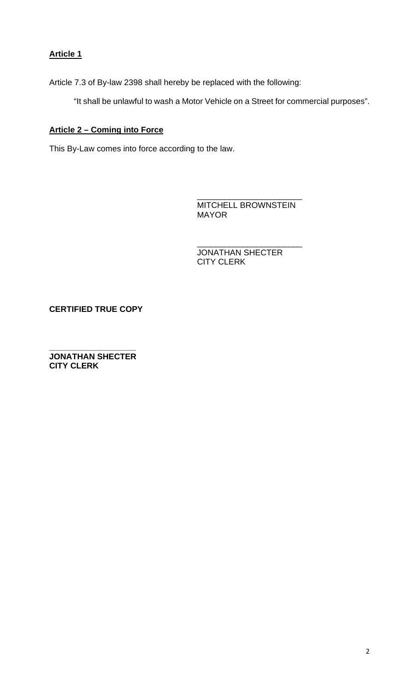# **Article 1**

Article 7.3 of By-law 2398 shall hereby be replaced with the following:

"It shall be unlawful to wash a Motor Vehicle on a Street for commercial purposes".

## **Article 2 – Coming into Force**

This By-Law comes into force according to the law.

\_\_\_\_\_\_\_\_\_\_\_\_\_\_\_\_\_\_\_\_\_\_\_ MITCHELL BROWNSTEIN MAYOR

\_\_\_\_\_\_\_\_\_\_\_\_\_\_\_\_\_\_\_\_\_\_\_ JONATHAN SHECTER CITY CLERK

**CERTIFIED TRUE COPY**

**\_\_\_\_\_\_\_\_\_\_\_\_\_\_\_\_\_\_\_ JONATHAN SHECTER CITY CLERK**